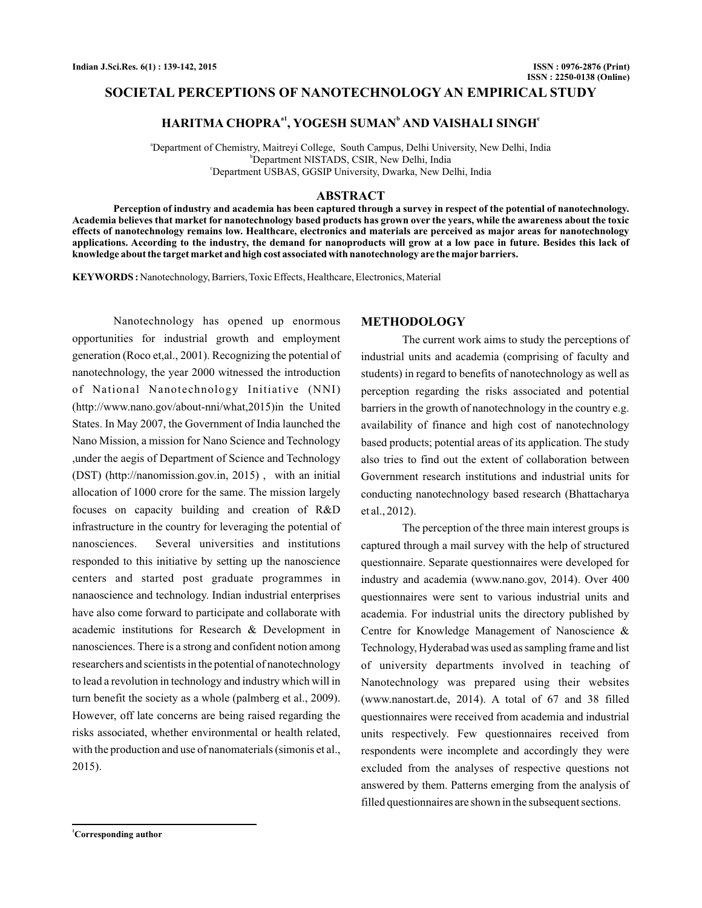## **SOCIETAL PERCEPTIONS OF NANOTECHNOLOGY AN EMPIRICAL STUDY**

## $HARITMA CHOPRA<sup>at</sup>$ , YOGESH SUMAN<sup>b</sup> AND VAISHALI SINGH<sup>e</sup>

a Department of Chemistry, Maitreyi College, South Campus, Delhi University, New Delhi, India b Department NISTADS, CSIR, New Delhi, India c Department USBAS, GGSIP University, Dwarka, New Delhi, India

### **ABSTRACT**

**Perception of industry and academia has been captured through a survey in respect of the potential of nanotechnology. Academia believes that market for nanotechnology based products has grown over the years, while the awareness about the toxic effects of nanotechnology remains low. Healthcare, electronics and materials are perceived as major areas for nanotechnology applications. According to the industry, the demand for nanoproducts will grow at a low pace in future. Besides this lack of knowledge about the target market and high cost associated with nanotechnology are the major barriers.**

KEYWORDS: Nanotechnology, Barriers, Toxic Effects, Healthcare, Electronics, Material

Nanotechnology has opened up enormous opportunities for industrial growth and employment generation (Roco et,al., 2001). Recognizing the potential of nanotechnology, the year 2000 witnessed the introduction of National Nanotechnology Initiative (NNI) (http://www.nano.gov/about-nni/what,2015)in the United States. In May 2007, the Government of India launched the Nano Mission, a mission for Nano Science and Technology ,under the aegis of Department of Science and Technology (DST) (http://nanomission.gov.in, 2015) , with an initial allocation of 1000 crore for the same. The mission largely focuses on capacity building and creation of R&D infrastructure in the country for leveraging the potential of nanosciences. Several universities and institutions responded to this initiative by setting up the nanoscience centers and started post graduate programmes in nanaoscience and technology. Indian industrial enterprises have also come forward to participate and collaborate with academic institutions for Research & Development in nanosciences. There is a strong and confident notion among researchers and scientists in the potential of nanotechnology to lead a revolution in technology and industry which will in turn benefit the society as a whole (palmberg et al., 2009). However, off late concerns are being raised regarding the risks associated, whether environmental or health related, with the production and use of nanomaterials (simonis et al., 2015).

### **METHODOLOGY**

The current work aims to study the perceptions of industrial units and academia (comprising of faculty and students) in regard to benefits of nanotechnology as well as perception regarding the risks associated and potential barriers in the growth of nanotechnology in the country e.g. availability of finance and high cost of nanotechnology based products; potential areas of its application. The study also tries to find out the extent of collaboration between Government research institutions and industrial units for conducting nanotechnology based research (Bhattacharya et al., 2012).

The perception of the three main interest groups is captured through a mail survey with the help of structured questionnaire. Separate questionnaires were developed for industry and academia (www.nano.gov, 2014). Over 400 questionnaires were sent to various industrial units and academia. For industrial units the directory published by Centre for Knowledge Management of Nanoscience & Technology, Hyderabad was used as sampling frame and list of university departments involved in teaching of Nanotechnology was prepared using their websites (www.nanostart.de, 2014). A total of 67 and 38 filled questionnaires were received from academia and industrial units respectively. Few questionnaires received from respondents were incomplete and accordingly they were excluded from the analyses of respective questions not answered by them. Patterns emerging from the analysis of filled questionnaires are shown in the subsequent sections.

**<sup>1</sup>Corresponding author**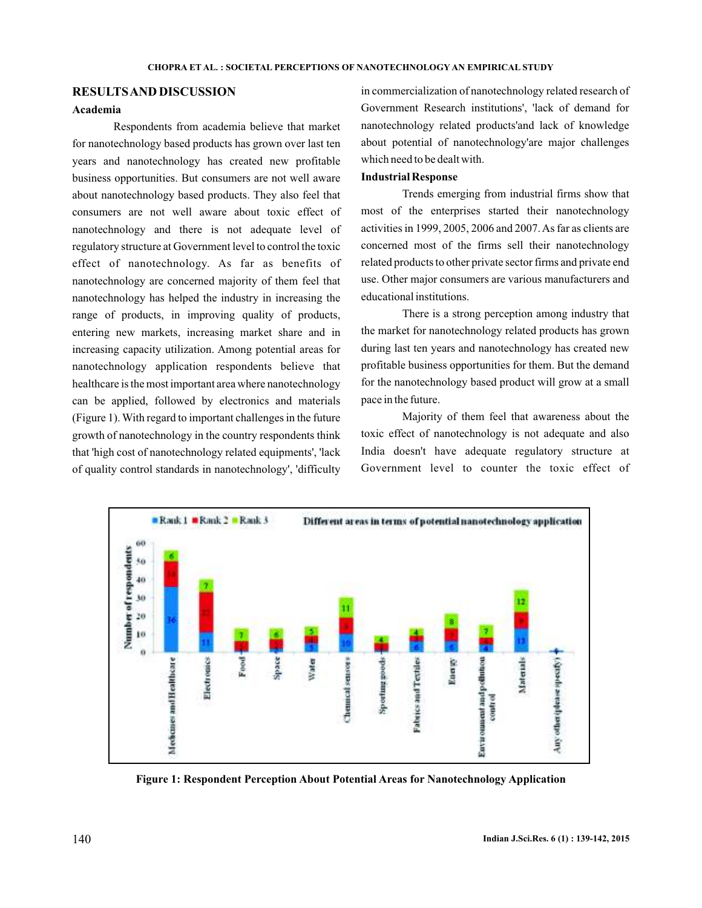# **RESULTSAND DISCUSSION**

## **Academia**

Respondents from academia believe that market for nanotechnology based products has grown over last ten years and nanotechnology has created new profitable business opportunities. But consumers are not well aware about nanotechnology based products. They also feel that consumers are not well aware about toxic effect of nanotechnology and there is not adequate level of regulatory structure at Government level to control the toxic effect of nanotechnology. As far as benefits of nanotechnology are concerned majority of them feel that nanotechnology has helped the industry in increasing the range of products, in improving quality of products, entering new markets, increasing market share and in increasing capacity utilization. Among potential areas for nanotechnology application respondents believe that healthcare is the most important area where nanotechnology can be applied, followed by electronics and materials (Figure 1). With regard to important challenges in the future growth of nanotechnology in the country respondents think that 'high cost of nanotechnology related equipments', 'lack of quality control standards in nanotechnology', 'difficulty

in commercialization of nanotechnology related research of Government Research institutions', 'lack of demand for nanotechnology related products'and lack of knowledge about potential of nanotechnology'are major challenges which need to be dealt with.

### **Industrial Response**

Trends emerging from industrial firms show that most of the enterprises started their nanotechnology activities in 1999, 2005, 2006 and 2007. As far as clients are concerned most of the firms sell their nanotechnology related products to other private sector firms and private end use. Other major consumers are various manufacturers and educational institutions.

There is a strong perception among industry that the market for nanotechnology related products has grown during last ten years and nanotechnology has created new profitable business opportunities for them. But the demand for the nanotechnology based product will grow at a small pace in the future.

Majority of them feel that awareness about the toxic effect of nanotechnology is not adequate and also India doesn't have adequate regulatory structure at Government level to counter the toxic effect of



**Figure 1: Respondent Perception About Potential Areas for Nanotechnology Application**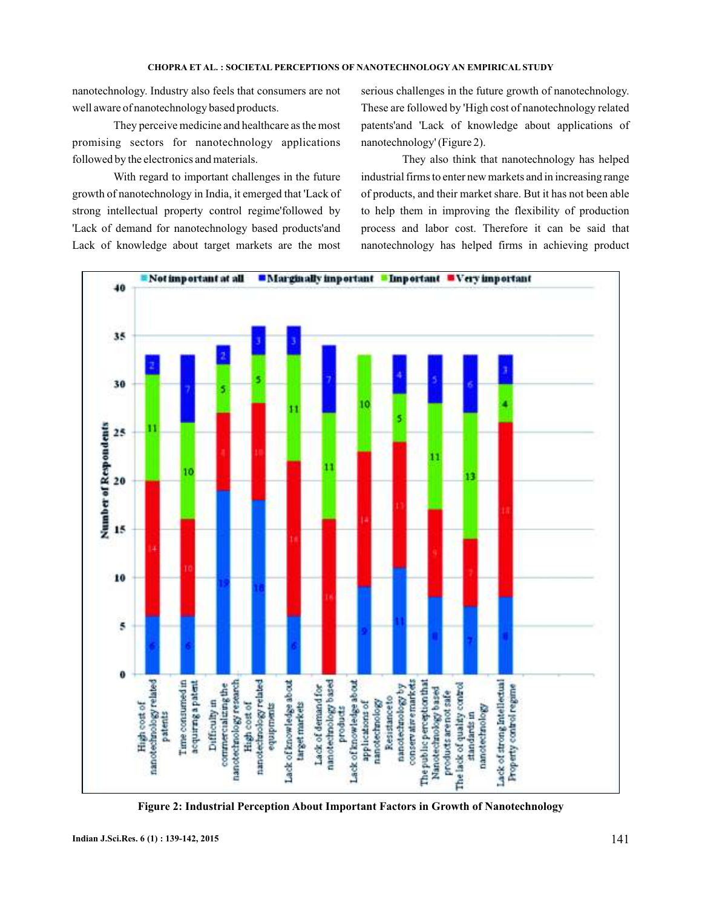nanotechnology. Industry also feels that consumers are not well aware of nanotechnology based products.

They perceive medicine and healthcare as the most promising sectors for nanotechnology applications followed by the electronics and materials.

With regard to important challenges in the future growth of nanotechnology in India, it emerged that 'Lack of strong intellectual property control regime'followed by 'Lack of demand for nanotechnology based products'and Lack of knowledge about target markets are the most

serious challenges in the future growth of nanotechnology. These are followed by 'High cost of nanotechnology related patents'and 'Lack of knowledge about applications of nanotechnology' (Figure 2).

They also think that nanotechnology has helped industrial firms to enter new markets and in increasing range of products, and their market share. But it has not been able to help them in improving the flexibility of production process and labor cost. Therefore it can be said that nanotechnology has helped firms in achieving product



**Figure 2: Industrial Perception About Important Factors in Growth of Nanotechnology**